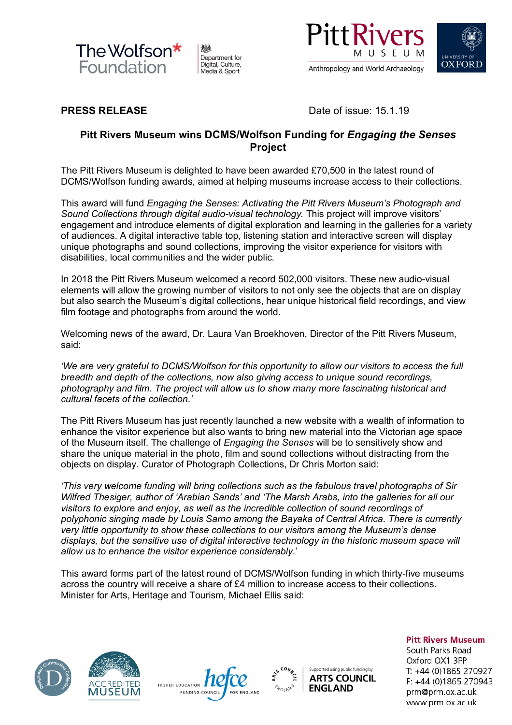

州 Department for Digital, Culture, Media & Sport





**PRESS RELEASE** Date of issue: 15.1.19

# **Pitt Rivers Museum wins DCMS/Wolfson Funding for** *Engaging the Senses* **Project**

The Pitt Rivers Museum is delighted to have been awarded £70,500 in the latest round of DCMS/Wolfson funding awards, aimed at helping museums increase access to their collections.

This award will fund *Engaging the Senses: Activating the Pitt Rivers Museum's Photograph and Sound Collections through digital audio-visual technology.* This project will improve visitors' engagement and introduce elements of digital exploration and learning in the galleries for a variety of audiences. A digital interactive table top, listening station and interactive screen will display unique photographs and sound collections, improving the visitor experience for visitors with disabilities, local communities and the wider public.

In 2018 the Pitt Rivers Museum welcomed a record 502,000 visitors. These new audio-visual elements will allow the growing number of visitors to not only see the objects that are on display but also search the Museum's digital collections, hear unique historical field recordings, and view film footage and photographs from around the world.

Welcoming news of the award, Dr. Laura Van Broekhoven, Director of the Pitt Rivers Museum, said:

*'We are very grateful to DCMS/Wolfson for this opportunity to allow our visitors to access the full breadth and depth of the collections, now also giving access to unique sound recordings, photography and film. The project will allow us to show many more fascinating historical and cultural facets of the collection.'*

The Pitt Rivers Museum has just recently launched a new website with a wealth of information to enhance the visitor experience but also wants to bring new material into the Victorian age space of the Museum itself. The challenge of *Engaging the Senses* will be to sensitively show and share the unique material in the photo, film and sound collections without distracting from the objects on display. Curator of Photograph Collections, Dr Chris Morton said:

*'This very welcome funding will bring collections such as the fabulous travel photographs of Sir Wilfred Thesiger, author of 'Arabian Sands' and 'The Marsh Arabs, into the galleries for all our visitors to explore and enjoy, as well as the incredible collection of sound recordings of polyphonic singing made by Louis Sarno among the Bayaka of Central Africa. There is currently very little opportunity to show these collections to our visitors among the Museum's dense displays, but the sensitive use of digital interactive technology in the historic museum space will allow us to enhance the visitor experience considerably*.'

This award forms part of the latest round of DCMS/Wolfson funding in which thirty-five museums across the country will receive a share of £4 million to increase access to their collections. Minister for Arts, Heritage and Tourism, Michael Ellis said:









**Pitt Rivers Museum** 

South Parks Road Oxford OX1 3PP T: +44 (0)1865 270927 F: +44 (0)1865 270943 prm@prm.ox.ac.uk www.prm.ox.ac.uk